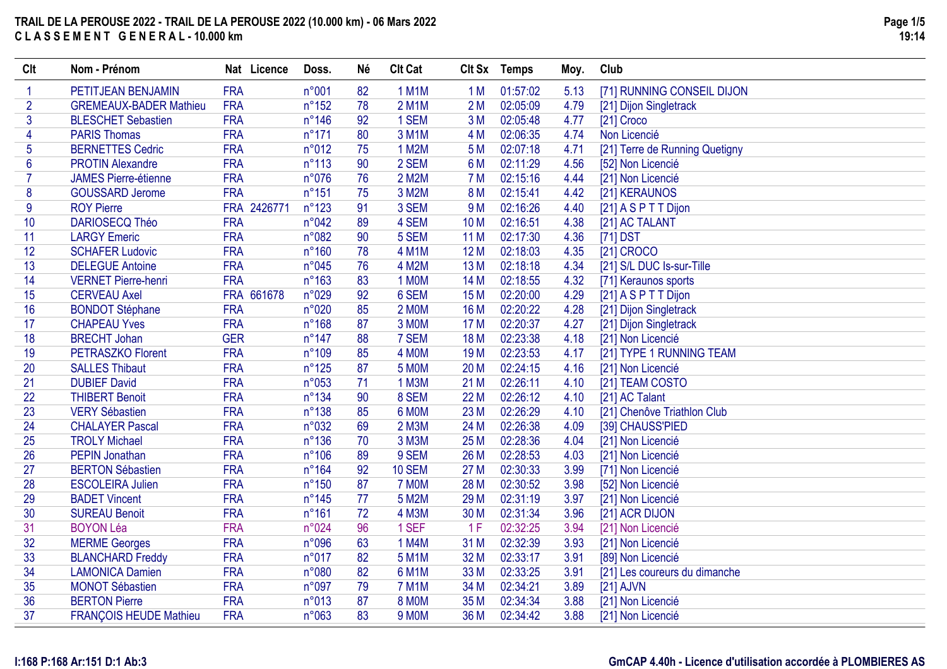| Clt            | Nom - Prénom                  | Nat Licence | Doss.           | Né | <b>Clt Cat</b> | <b>CIt Sx</b>   | Temps    | Moy. | Club                           |
|----------------|-------------------------------|-------------|-----------------|----|----------------|-----------------|----------|------|--------------------------------|
| $\mathbf 1$    | PETITJEAN BENJAMIN            | <b>FRA</b>  | n°001           | 82 | <b>1 M1M</b>   | 1 M             | 01:57:02 | 5.13 | [71] RUNNING CONSEIL DIJON     |
| $\overline{2}$ | <b>GREMEAUX-BADER Mathieu</b> | <b>FRA</b>  | $n^{\circ}152$  | 78 | 2 M1M          | 2M              | 02:05:09 | 4.79 | [21] Dijon Singletrack         |
| 3              | <b>BLESCHET Sebastien</b>     | <b>FRA</b>  | $n^{\circ}$ 146 | 92 | 1 SEM          | 3M              | 02:05:48 | 4.77 | [21] Croco                     |
| 4              | <b>PARIS Thomas</b>           | <b>FRA</b>  | $n^{\circ}171$  | 80 | 3 M1M          | 4 M             | 02:06:35 | 4.74 | Non Licencié                   |
| 5              | <b>BERNETTES Cedric</b>       | <b>FRA</b>  | n°012           | 75 | 1 M2M          | 5 M             | 02:07:18 | 4.71 | [21] Terre de Running Quetigny |
| 6              | <b>PROTIN Alexandre</b>       | <b>FRA</b>  | $n^{\circ}113$  | 90 | 2 SEM          | 6 M             | 02:11:29 | 4.56 | [52] Non Licencié              |
| $\overline{7}$ | <b>JAMES Pierre-étienne</b>   | <b>FRA</b>  | n°076           | 76 | 2 M2M          | <b>7 M</b>      | 02:15:16 | 4.44 | [21] Non Licencié              |
| 8              | <b>GOUSSARD Jerome</b>        | <b>FRA</b>  | $n^{\circ}151$  | 75 | 3 M2M          | 8 M             | 02:15:41 | 4.42 | [21] KERAUNOS                  |
| 9              | <b>ROY Pierre</b>             | FRA 2426771 | $n^{\circ}123$  | 91 | 3 SEM          | 9 M             | 02:16:26 | 4.40 | [21] A S P T T Dijon           |
| 10             | DARIOSECQ Théo                | <b>FRA</b>  | n°042           | 89 | 4 SEM          | 10 <sub>M</sub> | 02:16:51 | 4.38 | [21] AC TALANT                 |
| 11             | <b>LARGY Emeric</b>           | <b>FRA</b>  | n°082           | 90 | 5 SEM          | 11 M            | 02:17:30 | 4.36 | [71] DST                       |
| 12             | <b>SCHAFER Ludovic</b>        | <b>FRA</b>  | $n^{\circ}160$  | 78 | 4 M1M          | 12 M            | 02:18:03 | 4.35 | [21] CROCO                     |
| 13             | <b>DELEGUE Antoine</b>        | <b>FRA</b>  | n°045           | 76 | 4 M2M          | 13 M            | 02:18:18 | 4.34 | [21] S/L DUC Is-sur-Tille      |
| 14             | <b>VERNET Pierre-henri</b>    | <b>FRA</b>  | $n^{\circ}163$  | 83 | 1 MOM          | 14 M            | 02:18:55 | 4.32 | [71] Keraunos sports           |
| 15             | <b>CERVEAU Axel</b>           | FRA 661678  | n°029           | 92 | 6 SEM          | 15 M            | 02:20:00 | 4.29 | [21] A S P T T Dijon           |
| 16             | <b>BONDOT Stéphane</b>        | <b>FRA</b>  | n°020           | 85 | 2 MOM          | 16 M            | 02:20:22 | 4.28 | [21] Dijon Singletrack         |
| 17             | <b>CHAPEAU Yves</b>           | <b>FRA</b>  | $n^{\circ}168$  | 87 | 3 MOM          | 17 M            | 02:20:37 | 4.27 | [21] Dijon Singletrack         |
| 18             | <b>BRECHT Johan</b>           | <b>GER</b>  | $n^{\circ}$ 147 | 88 | 7 SEM          | 18 M            | 02:23:38 | 4.18 | [21] Non Licencié              |
| 19             | <b>PETRASZKO Florent</b>      | <b>FRA</b>  | n°109           | 85 | 4 MOM          | 19 <sub>M</sub> | 02:23:53 | 4.17 | [21] TYPE 1 RUNNING TEAM       |
| 20             | <b>SALLES Thibaut</b>         | <b>FRA</b>  | $n^{\circ}125$  | 87 | <b>5 MOM</b>   | 20 M            | 02:24:15 | 4.16 | [21] Non Licencié              |
| 21             | <b>DUBIEF David</b>           | <b>FRA</b>  | n°053           | 71 | 1 M3M          | 21 M            | 02:26:11 | 4.10 | [21] TEAM COSTO                |
| 22             | <b>THIBERT Benoit</b>         | <b>FRA</b>  | $n^{\circ}134$  | 90 | 8 SEM          | 22 M            | 02:26:12 | 4.10 | [21] AC Talant                 |
| 23             | <b>VERY Sébastien</b>         | <b>FRA</b>  | $n^{\circ}138$  | 85 | 6 MOM          | 23 M            | 02:26:29 | 4.10 | [21] Chenôve Triathlon Club    |
| 24             | <b>CHALAYER Pascal</b>        | <b>FRA</b>  | n°032           | 69 | 2 M3M          | 24 M            | 02:26:38 | 4.09 | [39] CHAUSS'PIED               |
| 25             | <b>TROLY Michael</b>          | <b>FRA</b>  | $n^{\circ}136$  | 70 | 3 M3M          | 25 M            | 02:28:36 | 4.04 | [21] Non Licencié              |
| 26             | <b>PEPIN Jonathan</b>         | <b>FRA</b>  | $n^{\circ}106$  | 89 | 9 SEM          | 26 M            | 02:28:53 | 4.03 | [21] Non Licencié              |
| 27             | <b>BERTON Sébastien</b>       | <b>FRA</b>  | $n^{\circ}164$  | 92 | <b>10 SEM</b>  | 27 M            | 02:30:33 | 3.99 | [71] Non Licencié              |
| 28             | <b>ESCOLEIRA Julien</b>       | <b>FRA</b>  | $n^{\circ}150$  | 87 | 7 MOM          | 28 M            | 02:30:52 | 3.98 | [52] Non Licencié              |
| 29             | <b>BADET Vincent</b>          | <b>FRA</b>  | $n^{\circ}$ 145 | 77 | 5 M2M          | 29 M            | 02:31:19 | 3.97 | [21] Non Licencié              |
| 30             | <b>SUREAU Benoit</b>          | <b>FRA</b>  | $n^{\circ}161$  | 72 | <b>4 M3M</b>   | 30 M            | 02:31:34 | 3.96 | [21] ACR DIJON                 |
| 31             | <b>BOYON Léa</b>              | <b>FRA</b>  | n°024           | 96 | 1 SEF          | 1F              | 02:32:25 | 3.94 | [21] Non Licencié              |
| 32             | <b>MERME Georges</b>          | <b>FRA</b>  | n°096           | 63 | 1 M4M          | 31 M            | 02:32:39 | 3.93 | [21] Non Licencié              |
| 33             | <b>BLANCHARD Freddy</b>       | <b>FRA</b>  | n°017           | 82 | <b>5 M1M</b>   | 32 M            | 02:33:17 | 3.91 | [89] Non Licencié              |
| 34             | <b>LAMONICA Damien</b>        | <b>FRA</b>  | n°080           | 82 | <b>6 M1M</b>   | 33 M            | 02:33:25 | 3.91 | [21] Les coureurs du dimanche  |
| 35             | <b>MONOT Sébastien</b>        | <b>FRA</b>  | n°097           | 79 | <b>7 M1M</b>   | 34 M            | 02:34:21 | 3.89 | [21] AJVN                      |
| 36             | <b>BERTON Pierre</b>          | <b>FRA</b>  | n°013           | 87 | 8 MOM          | 35 M            | 02:34:34 | 3.88 | [21] Non Licencié              |
| 37             | <b>FRANÇOIS HEUDE Mathieu</b> | <b>FRA</b>  | n°063           | 83 | <b>9 MOM</b>   | 36 M            | 02:34:42 | 3.88 | [21] Non Licencié              |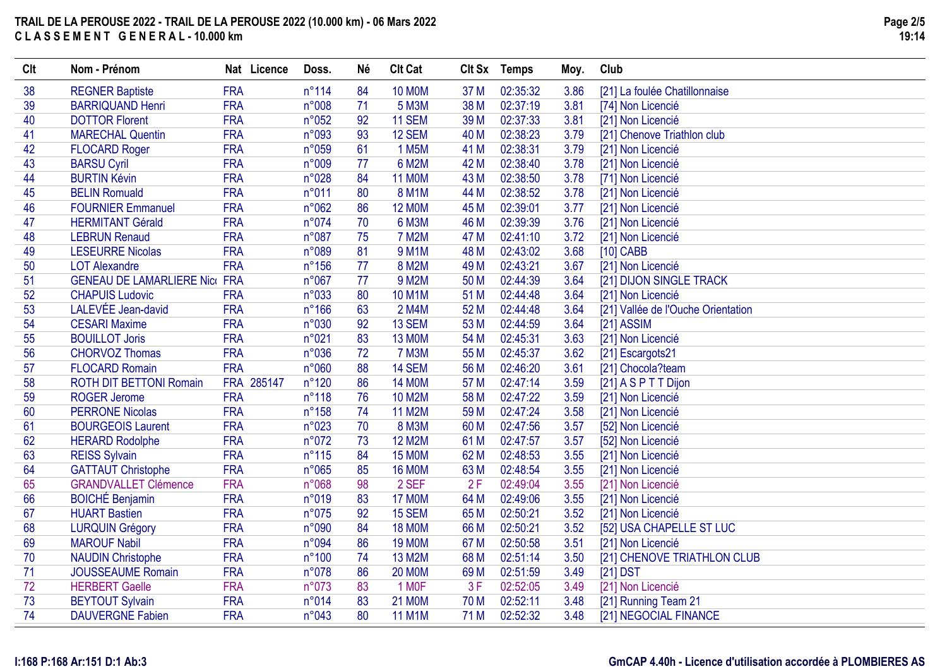| Clt | Nom - Prénom                         | Nat Licence | Doss.          | Né | <b>Clt Cat</b> | Clt Sx          | <b>Temps</b> | Moy. | Club                               |
|-----|--------------------------------------|-------------|----------------|----|----------------|-----------------|--------------|------|------------------------------------|
| 38  | <b>REGNER Baptiste</b>               | <b>FRA</b>  | $n^{\circ}114$ | 84 | <b>10 MOM</b>  | 37 M            | 02:35:32     | 3.86 | [21] La foulée Chatillonnaise      |
| 39  | <b>BARRIQUAND Henri</b>              | <b>FRA</b>  | n°008          | 71 | 5 M3M          | 38 M            | 02:37:19     | 3.81 | [74] Non Licencié                  |
| 40  | <b>DOTTOR Florent</b>                | <b>FRA</b>  | n°052          | 92 | <b>11 SEM</b>  | 39 M            | 02:37:33     | 3.81 | [21] Non Licencié                  |
| 41  | <b>MARECHAL Quentin</b>              | <b>FRA</b>  | n°093          | 93 | 12 SEM         | 40 M            | 02:38:23     | 3.79 | [21] Chenove Triathlon club        |
| 42  | <b>FLOCARD Roger</b>                 | <b>FRA</b>  | n°059          | 61 | 1 M5M          | 41 M            | 02:38:31     | 3.79 | [21] Non Licencié                  |
| 43  | <b>BARSU Cyril</b>                   | <b>FRA</b>  | n°009          | 77 | 6 M2M          | 42 M            | 02:38:40     | 3.78 | [21] Non Licencié                  |
| 44  | <b>BURTIN Kévin</b>                  | <b>FRA</b>  | n°028          | 84 | <b>11 MOM</b>  | 43 M            | 02:38:50     | 3.78 | [71] Non Licencié                  |
| 45  | <b>BELIN Romuald</b>                 | <b>FRA</b>  | n°011          | 80 | <b>8 M1M</b>   | 44 M            | 02:38:52     | 3.78 | [21] Non Licencié                  |
| 46  | <b>FOURNIER Emmanuel</b>             | <b>FRA</b>  | n°062          | 86 | <b>12 MOM</b>  | 45 M            | 02:39:01     | 3.77 | [21] Non Licencié                  |
| 47  | <b>HERMITANT Gérald</b>              | <b>FRA</b>  | n°074          | 70 | 6 M3M          | 46 M            | 02:39:39     | 3.76 | [21] Non Licencié                  |
| 48  | <b>LEBRUN Renaud</b>                 | <b>FRA</b>  | n°087          | 75 | <b>7 M2M</b>   | 47 M            | 02:41:10     | 3.72 | [21] Non Licencié                  |
| 49  | <b>LESEURRE Nicolas</b>              | <b>FRA</b>  | n°089          | 81 | <b>9 M1M</b>   | 48 M            | 02:43:02     | 3.68 | $[10]$ CABB                        |
| 50  | <b>LOT Alexandre</b>                 | <b>FRA</b>  | $n^{\circ}156$ | 77 | <b>8 M2M</b>   | 49 M            | 02:43:21     | 3.67 | [21] Non Licencié                  |
| 51  | <b>GENEAU DE LAMARLIERE Nice FRA</b> |             | n°067          | 77 | 9 M2M          | 50 M            | 02:44:39     | 3.64 | [21] DIJON SINGLE TRACK            |
| 52  | <b>CHAPUIS Ludovic</b>               | <b>FRA</b>  | n°033          | 80 | <b>10 M1M</b>  | 51 M            | 02:44:48     | 3.64 | [21] Non Licencié                  |
| 53  | LALEVÉE Jean-david                   | <b>FRA</b>  | $n^{\circ}166$ | 63 | 2 M4M          | 52 M            | 02:44:48     | 3.64 | [21] Vallée de l'Ouche Orientation |
| 54  | <b>CESARI Maxime</b>                 | <b>FRA</b>  | n°030          | 92 | 13 SEM         | 53 M            | 02:44:59     | 3.64 | [21] ASSIM                         |
| 55  | <b>BOUILLOT Joris</b>                | <b>FRA</b>  | n°021          | 83 | <b>13 MOM</b>  | 54 M            | 02:45:31     | 3.63 | [21] Non Licencié                  |
| 56  | <b>CHORVOZ Thomas</b>                | <b>FRA</b>  | n°036          | 72 | <b>7 M3M</b>   | 55 M            | 02:45:37     | 3.62 | [21] Escargots21                   |
| 57  | <b>FLOCARD Romain</b>                | <b>FRA</b>  | n°060          | 88 | 14 SEM         | 56 M            | 02:46:20     | 3.61 | [21] Chocola?team                  |
| 58  | <b>ROTH DIT BETTONI Romain</b>       | FRA 285147  | $n^{\circ}120$ | 86 | <b>14 MOM</b>  | 57 M            | 02:47:14     | 3.59 | [21] A S P T T Dijon               |
| 59  | <b>ROGER Jerome</b>                  | <b>FRA</b>  | $n^{\circ}118$ | 76 | <b>10 M2M</b>  | 58 M            | 02:47:22     | 3.59 | [21] Non Licencié                  |
| 60  | <b>PERRONE Nicolas</b>               | <b>FRA</b>  | $n^{\circ}158$ | 74 | <b>11 M2M</b>  | 59 M            | 02:47:24     | 3.58 | [21] Non Licencié                  |
| 61  | <b>BOURGEOIS Laurent</b>             | <b>FRA</b>  | n°023          | 70 | <b>8 M3M</b>   | 60 M            | 02:47:56     | 3.57 | [52] Non Licencié                  |
| 62  | <b>HERARD Rodolphe</b>               | <b>FRA</b>  | n°072          | 73 | <b>12 M2M</b>  | 61 M            | 02:47:57     | 3.57 | [52] Non Licencié                  |
| 63  | <b>REISS Sylvain</b>                 | <b>FRA</b>  | $n^{\circ}115$ | 84 | <b>15 MOM</b>  | 62 M            | 02:48:53     | 3.55 | [21] Non Licencié                  |
| 64  | <b>GATTAUT Christophe</b>            | <b>FRA</b>  | n°065          | 85 | <b>16 MOM</b>  | 63 M            | 02:48:54     | 3.55 | [21] Non Licencié                  |
| 65  | <b>GRANDVALLET Clémence</b>          | <b>FRA</b>  | n°068          | 98 | 2 SEF          | 2F              | 02:49:04     | 3.55 | [21] Non Licencié                  |
| 66  | <b>BOICHÉ Benjamin</b>               | <b>FRA</b>  | n°019          | 83 | <b>17 MOM</b>  | 64 M            | 02:49:06     | 3.55 | [21] Non Licencié                  |
| 67  | <b>HUART Bastien</b>                 | <b>FRA</b>  | n°075          | 92 | <b>15 SEM</b>  | 65 M            | 02:50:21     | 3.52 | [21] Non Licencié                  |
| 68  | <b>LURQUIN Grégory</b>               | <b>FRA</b>  | n°090          | 84 | <b>18 MOM</b>  | 66 M            | 02:50:21     | 3.52 | [52] USA CHAPELLE ST LUC           |
| 69  | <b>MAROUF Nabil</b>                  | <b>FRA</b>  | n°094          | 86 | <b>19 MOM</b>  | 67 M            | 02:50:58     | 3.51 | [21] Non Licencié                  |
| 70  | <b>NAUDIN Christophe</b>             | <b>FRA</b>  | $n^{\circ}100$ | 74 | 13 M2M         | 68 M            | 02:51:14     | 3.50 | [21] CHENOVE TRIATHLON CLUB        |
| 71  | <b>JOUSSEAUME Romain</b>             | <b>FRA</b>  | n°078          | 86 | <b>20 MOM</b>  | 69 <sub>M</sub> | 02:51:59     | 3.49 | $[21]$ DST                         |
| 72  | <b>HERBERT Gaelle</b>                | <b>FRA</b>  | n°073          | 83 | 1 MOF          | 3F              | 02:52:05     | 3.49 | [21] Non Licencié                  |
| 73  | <b>BEYTOUT Sylvain</b>               | <b>FRA</b>  | n°014          | 83 | <b>21 MOM</b>  | 70 M            | 02:52:11     | 3.48 | [21] Running Team 21               |
| 74  | <b>DAUVERGNE Fabien</b>              | <b>FRA</b>  | n°043          | 80 | <b>11 M1M</b>  | 71 M            | 02:52:32     | 3.48 | [21] NEGOCIAL FINANCE              |

### **I:168 P:168 Ar:151 D:1 Ab:3**

### **GmCAP 4.40h - Licence d'utilisation accordée à PLOMBIERES AS**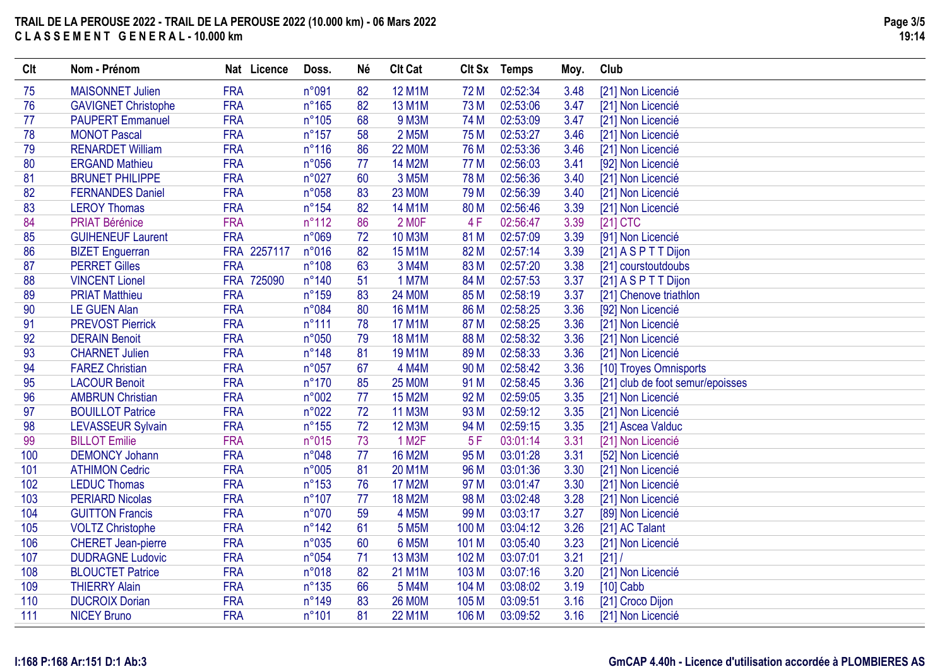| Clt | Nom - Prénom               | Nat Licence | Doss.           | Né | <b>Clt Cat</b>     |                 | Clt Sx Temps | Moy. | Club                             |
|-----|----------------------------|-------------|-----------------|----|--------------------|-----------------|--------------|------|----------------------------------|
| 75  | <b>MAISONNET Julien</b>    | <b>FRA</b>  | n°091           | 82 | <b>12 M1M</b>      | 72 M            | 02:52:34     | 3.48 | [21] Non Licencié                |
| 76  | <b>GAVIGNET Christophe</b> | <b>FRA</b>  | $n^{\circ}165$  | 82 | <b>13 M1M</b>      | 73 M            | 02:53:06     | 3.47 | [21] Non Licencié                |
| 77  | <b>PAUPERT Emmanuel</b>    | <b>FRA</b>  | $n^{\circ}105$  | 68 | <b>9 M3M</b>       | 74 M            | 02:53:09     | 3.47 | [21] Non Licencié                |
| 78  | <b>MONOT Pascal</b>        | <b>FRA</b>  | $n^{\circ}157$  | 58 | 2 M <sub>5</sub> M | 75 M            | 02:53:27     | 3.46 | [21] Non Licencié                |
| 79  | <b>RENARDET William</b>    | <b>FRA</b>  | $n^{\circ}116$  | 86 | <b>22 MOM</b>      | 76 M            | 02:53:36     | 3.46 | [21] Non Licencié                |
| 80  | <b>ERGAND Mathieu</b>      | <b>FRA</b>  | n°056           | 77 | <b>14 M2M</b>      | 77 M            | 02:56:03     | 3.41 | [92] Non Licencié                |
| 81  | <b>BRUNET PHILIPPE</b>     | <b>FRA</b>  | n°027           | 60 | 3 M <sub>5</sub> M | 78 M            | 02:56:36     | 3.40 | [21] Non Licencié                |
| 82  | <b>FERNANDES Daniel</b>    | <b>FRA</b>  | n°058           | 83 | <b>23 MOM</b>      | 79 M            | 02:56:39     | 3.40 | [21] Non Licencié                |
| 83  | <b>LEROY Thomas</b>        | <b>FRA</b>  | $n^{\circ}154$  | 82 | <b>14 M1M</b>      | 80 M            | 02:56:46     | 3.39 | [21] Non Licencié                |
| 84  | <b>PRIAT Bérénice</b>      | <b>FRA</b>  | $n^{\circ}112$  | 86 | 2 MOF              | 4F              | 02:56:47     | 3.39 | $[21]$ CTC                       |
| 85  | <b>GUIHENEUF Laurent</b>   | <b>FRA</b>  | n°069           | 72 | <b>10 M3M</b>      | 81 M            | 02:57:09     | 3.39 | [91] Non Licencié                |
| 86  | <b>BIZET</b> Enguerran     | FRA 2257117 | n°016           | 82 | <b>15 M1M</b>      | 82 M            | 02:57:14     | 3.39 | [21] A S P T T Dijon             |
| 87  | <b>PERRET Gilles</b>       | <b>FRA</b>  | $n^{\circ}108$  | 63 | 3 M4M              | 83 M            | 02:57:20     | 3.38 | [21] courstoutdoubs              |
| 88  | <b>VINCENT Lionel</b>      | FRA 725090  | $n^{\circ}$ 140 | 51 | <b>1 M7M</b>       | 84 M            | 02:57:53     | 3.37 | [21] A S P T T Dijon             |
| 89  | <b>PRIAT Matthieu</b>      | <b>FRA</b>  | n°159           | 83 | <b>24 MOM</b>      | 85 M            | 02:58:19     | 3.37 | [21] Chenove triathlon           |
| 90  | <b>LE GUEN Alan</b>        | <b>FRA</b>  | n°084           | 80 | <b>16 M1M</b>      | 86 M            | 02:58:25     | 3.36 | [92] Non Licencié                |
| 91  | <b>PREVOST Pierrick</b>    | <b>FRA</b>  | $n^{\circ}111$  | 78 | <b>17 M1M</b>      | 87 M            | 02:58:25     | 3.36 | [21] Non Licencié                |
| 92  | <b>DERAIN Benoit</b>       | <b>FRA</b>  | n°050           | 79 | <b>18 M1M</b>      | 88 M            | 02:58:32     | 3.36 | [21] Non Licencié                |
| 93  | <b>CHARNET Julien</b>      | <b>FRA</b>  | $n^{\circ}$ 148 | 81 | <b>19 M1M</b>      | 89 M            | 02:58:33     | 3.36 | [21] Non Licencié                |
| 94  | <b>FAREZ Christian</b>     | <b>FRA</b>  | n°057           | 67 | 4 M4M              | 90 M            | 02:58:42     | 3.36 | [10] Troyes Omnisports           |
| 95  | <b>LACOUR Benoit</b>       | <b>FRA</b>  | $n^{\circ}$ 170 | 85 | <b>25 MOM</b>      | 91 M            | 02:58:45     | 3.36 | [21] club de foot semur/epoisses |
| 96  | <b>AMBRUN Christian</b>    | <b>FRA</b>  | n°002           | 77 | <b>15 M2M</b>      | 92 M            | 02:59:05     | 3.35 | [21] Non Licencié                |
| 97  | <b>BOUILLOT Patrice</b>    | <b>FRA</b>  | n°022           | 72 | <b>11 M3M</b>      | 93 M            | 02:59:12     | 3.35 | [21] Non Licencié                |
| 98  | <b>LEVASSEUR Sylvain</b>   | <b>FRA</b>  | $n^{\circ}155$  | 72 | <b>12 M3M</b>      | 94 M            | 02:59:15     | 3.35 | [21] Ascea Valduc                |
| 99  | <b>BILLOT</b> Emilie       | <b>FRA</b>  | n°015           | 73 | 1 M <sub>2</sub> F | 5F              | 03:01:14     | 3.31 | [21] Non Licencié                |
| 100 | <b>DEMONCY Johann</b>      | <b>FRA</b>  | n°048           | 77 | <b>16 M2M</b>      | 95 M            | 03:01:28     | 3.31 | [52] Non Licencié                |
| 101 | <b>ATHIMON Cedric</b>      | <b>FRA</b>  | n°005           | 81 | 20 M1M             | 96 M            | 03:01:36     | 3.30 | [21] Non Licencié                |
| 102 | <b>LEDUC Thomas</b>        | <b>FRA</b>  | $n^{\circ}153$  | 76 | <b>17 M2M</b>      | 97 M            | 03:01:47     | 3.30 | [21] Non Licencié                |
| 103 | <b>PERIARD Nicolas</b>     | <b>FRA</b>  | $n^{\circ}107$  | 77 | <b>18 M2M</b>      | 98 M            | 03:02:48     | 3.28 | [21] Non Licencié                |
| 104 | <b>GUITTON Francis</b>     | <b>FRA</b>  | n°070           | 59 | <b>4 M5M</b>       | 99 <sub>M</sub> | 03:03:17     | 3.27 | [89] Non Licencié                |
| 105 | <b>VOLTZ Christophe</b>    | <b>FRA</b>  | $n^{\circ}$ 142 | 61 | 5 M <sub>5</sub> M | 100 M           | 03:04:12     | 3.26 | [21] AC Talant                   |
| 106 | <b>CHERET Jean-pierre</b>  | <b>FRA</b>  | n°035           | 60 | 6 M5M              | 101 M           | 03:05:40     | 3.23 | [21] Non Licencié                |
| 107 | <b>DUDRAGNE Ludovic</b>    | <b>FRA</b>  | n°054           | 71 | <b>13 M3M</b>      | 102 M           | 03:07:01     | 3.21 | [21]                             |
| 108 | <b>BLOUCTET Patrice</b>    | <b>FRA</b>  | n°018           | 82 | 21 M1M             | 103 M           | 03:07:16     | 3.20 | [21] Non Licencié                |
| 109 | <b>THIERRY Alain</b>       | <b>FRA</b>  | $n^{\circ}135$  | 66 | 5 M4M              | 104 M           | 03:08:02     | 3.19 | $[10]$ Cabb                      |
| 110 | <b>DUCROIX Dorian</b>      | <b>FRA</b>  | n°149           | 83 | <b>26 MOM</b>      | 105 M           | 03:09:51     | 3.16 | [21] Croco Dijon                 |
| 111 | <b>NICEY Bruno</b>         | <b>FRA</b>  | $n^{\circ}101$  | 81 | <b>22 M1M</b>      | 106 M           | 03:09:52     | 3.16 | [21] Non Licencié                |

### **I:168 P:168 Ar:151 D:1 Ab:3**

### **GmCAP 4.40h - Licence d'utilisation accordée à PLOMBIERES AS**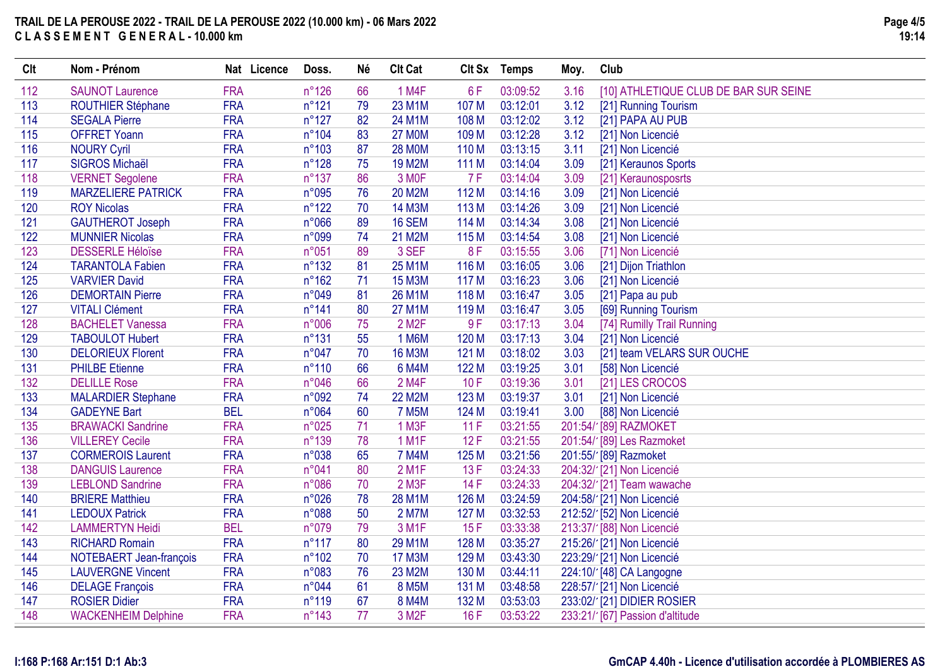| Clt | Nom - Prénom               | Nat Licence | Doss.           | Né | <b>Clt Cat</b>     |                  | Clt Sx Temps | Moy. | Club                                  |
|-----|----------------------------|-------------|-----------------|----|--------------------|------------------|--------------|------|---------------------------------------|
| 112 | <b>SAUNOT Laurence</b>     | <b>FRA</b>  | $n^{\circ}126$  | 66 | 1 M4F              | 6F               | 03:09:52     | 3.16 | [10] ATHLETIQUE CLUB DE BAR SUR SEINE |
| 113 | <b>ROUTHIER Stéphane</b>   | <b>FRA</b>  | $n^{\circ}121$  | 79 | 23 M1M             | 107 M            | 03:12:01     | 3.12 | [21] Running Tourism                  |
| 114 | <b>SEGALA Pierre</b>       | <b>FRA</b>  | $n^{\circ}127$  | 82 | 24 M1M             | 108 M            | 03:12:02     | 3.12 | [21] PAPA AU PUB                      |
| 115 | <b>OFFRET Yoann</b>        | <b>FRA</b>  | $n^{\circ}104$  | 83 | <b>27 MOM</b>      | 109 M            | 03:12:28     | 3.12 | [21] Non Licencié                     |
| 116 | <b>NOURY Cyril</b>         | <b>FRA</b>  | $n^{\circ}103$  | 87 | <b>28 MOM</b>      | 110 <sub>M</sub> | 03:13:15     | 3.11 | [21] Non Licencié                     |
| 117 | <b>SIGROS Michaël</b>      | <b>FRA</b>  | $n^{\circ}128$  | 75 | <b>19 M2M</b>      | 111 M            | 03:14:04     | 3.09 | [21] Keraunos Sports                  |
| 118 | <b>VERNET Segolene</b>     | <b>FRA</b>  | $n^{\circ}137$  | 86 | 3 MOF              | 7F               | 03:14:04     | 3.09 | [21] Keraunosposrts                   |
| 119 | <b>MARZELIERE PATRICK</b>  | <b>FRA</b>  | n°095           | 76 | <b>20 M2M</b>      | 112 M            | 03:14:16     | 3.09 | [21] Non Licencié                     |
| 120 | <b>ROY Nicolas</b>         | <b>FRA</b>  | $n^{\circ}122$  | 70 | 14 M3M             | 113 M            | 03:14:26     | 3.09 | [21] Non Licencié                     |
| 121 | <b>GAUTHEROT Joseph</b>    | <b>FRA</b>  | n°066           | 89 | <b>16 SEM</b>      | 114 M            | 03:14:34     | 3.08 | [21] Non Licencié                     |
| 122 | <b>MUNNIER Nicolas</b>     | <b>FRA</b>  | n°099           | 74 | 21 M2M             | 115 M            | 03:14:54     | 3.08 | [21] Non Licencié                     |
| 123 | <b>DESSERLE Héloïse</b>    | <b>FRA</b>  | n°051           | 89 | 3 SEF              | 8F               | 03:15:55     | 3.06 | [71] Non Licencié                     |
| 124 | <b>TARANTOLA Fabien</b>    | <b>FRA</b>  | $n^{\circ}132$  | 81 | 25 M1M             | 116 M            | 03:16:05     | 3.06 | [21] Dijon Triathlon                  |
| 125 | <b>VARVIER David</b>       | <b>FRA</b>  | $n^{\circ}162$  | 71 | <b>15 M3M</b>      | 117 M            | 03:16:23     | 3.06 | [21] Non Licencié                     |
| 126 | <b>DEMORTAIN Pierre</b>    | <b>FRA</b>  | n°049           | 81 | 26 M1M             | 118 M            | 03:16:47     | 3.05 | [21] Papa au pub                      |
| 127 | <b>VITALI Clément</b>      | <b>FRA</b>  | $n^{\circ}141$  | 80 | <b>27 M1M</b>      | 119 <sub>M</sub> | 03:16:47     | 3.05 | [69] Running Tourism                  |
| 128 | <b>BACHELET Vanessa</b>    | <b>FRA</b>  | n°006           | 75 | 2 M <sub>2</sub> F | 9F               | 03:17:13     | 3.04 | [74] Rumilly Trail Running            |
| 129 | <b>TABOULOT Hubert</b>     | <b>FRA</b>  | $n^{\circ}131$  | 55 | 1 M6M              | 120 M            | 03:17:13     | 3.04 | [21] Non Licencié                     |
| 130 | <b>DELORIEUX Florent</b>   | <b>FRA</b>  | n°047           | 70 | <b>16 M3M</b>      | 121 M            | 03:18:02     | 3.03 | [21] team VELARS SUR OUCHE            |
| 131 | <b>PHILBE Etienne</b>      | <b>FRA</b>  | $n^{\circ}110$  | 66 | 6 M4M              | 122 M            | 03:19:25     | 3.01 | [58] Non Licencié                     |
| 132 | <b>DELILLE Rose</b>        | <b>FRA</b>  | n°046           | 66 | 2 M4F              | 10F              | 03:19:36     | 3.01 | [21] LES CROCOS                       |
| 133 | <b>MALARDIER Stephane</b>  | <b>FRA</b>  | n°092           | 74 | <b>22 M2M</b>      | 123 M            | 03:19:37     | 3.01 | [21] Non Licencié                     |
| 134 | <b>GADEYNE Bart</b>        | <b>BEL</b>  | n°064           | 60 | <b>7 M5M</b>       | 124 M            | 03:19:41     | 3.00 | [88] Non Licencié                     |
| 135 | <b>BRAWACKI Sandrine</b>   | <b>FRA</b>  | n°025           | 71 | 1 M3F              | 11F              | 03:21:55     |      | 201:54/1[89] RAZMOKET                 |
| 136 | <b>VILLEREY Cecile</b>     | <b>FRA</b>  | n°139           | 78 | 1 M1F              | 12F              | 03:21:55     |      | 201:54/ [89] Les Razmoket             |
| 137 | <b>CORMEROIS Laurent</b>   | <b>FRA</b>  | n°038           | 65 | <b>7 M4M</b>       | 125 M            | 03:21:56     |      | 201:55/'[89] Razmoket                 |
| 138 | <b>DANGUIS Laurence</b>    | <b>FRA</b>  | n°041           | 80 | 2 M <sub>1</sub> F | 13F              | 03:24:33     |      | 204:32/1[21] Non Licencié             |
| 139 | <b>LEBLOND Sandrine</b>    | <b>FRA</b>  | n°086           | 70 | 2 M3F              | 14F              | 03:24:33     |      | 204:32/'[21] Team wawache             |
| 140 | <b>BRIERE Matthieu</b>     | <b>FRA</b>  | n°026           | 78 | 28 M1M             | 126 M            | 03:24:59     |      | 204:58/1[21] Non Licencié             |
| 141 | <b>LEDOUX Patrick</b>      | <b>FRA</b>  | n°088           | 50 | 2 M7M              | 127 M            | 03:32:53     |      | 212:52/ [52] Non Licencié             |
| 142 | <b>LAMMERTYN Heidi</b>     | <b>BEL</b>  | n°079           | 79 | 3 M <sub>1</sub> F | 15F              | 03:33:38     |      | 213:37/ [88] Non Licencié             |
| 143 | <b>RICHARD Romain</b>      | <b>FRA</b>  | $n^{\circ}117$  | 80 | 29 M1M             | 128 M            | 03:35:27     |      | 215:26/ [21] Non Licencié             |
| 144 | NOTEBAERT Jean-françois    | <b>FRA</b>  | $n^{\circ}102$  | 70 | <b>17 M3M</b>      | 129 M            | 03:43:30     |      | 223:29/1[21] Non Licencié             |
| 145 | <b>LAUVERGNE Vincent</b>   | <b>FRA</b>  | n°083           | 76 | 23 M2M             | 130 M            | 03:44:11     |      | 224:10/'[48] CA Langogne              |
| 146 | <b>DELAGE François</b>     | <b>FRA</b>  | n°044           | 61 | <b>8 M5M</b>       | 131 M            | 03:48:58     |      | 228:57/ [21] Non Licencié             |
| 147 | <b>ROSIER Didier</b>       | <b>FRA</b>  | $n^{\circ}119$  | 67 | 8 M4M              | 132 M            | 03:53:03     |      | 233:02/121] DIDIER ROSIER             |
| 148 | <b>WACKENHEIM Delphine</b> | <b>FRA</b>  | $n^{\circ}$ 143 | 77 | 3 M <sub>2</sub> F | 16F              | 03:53:22     |      | 233:21/' [67] Passion d'altitude      |
|     |                            |             |                 |    |                    |                  |              |      |                                       |